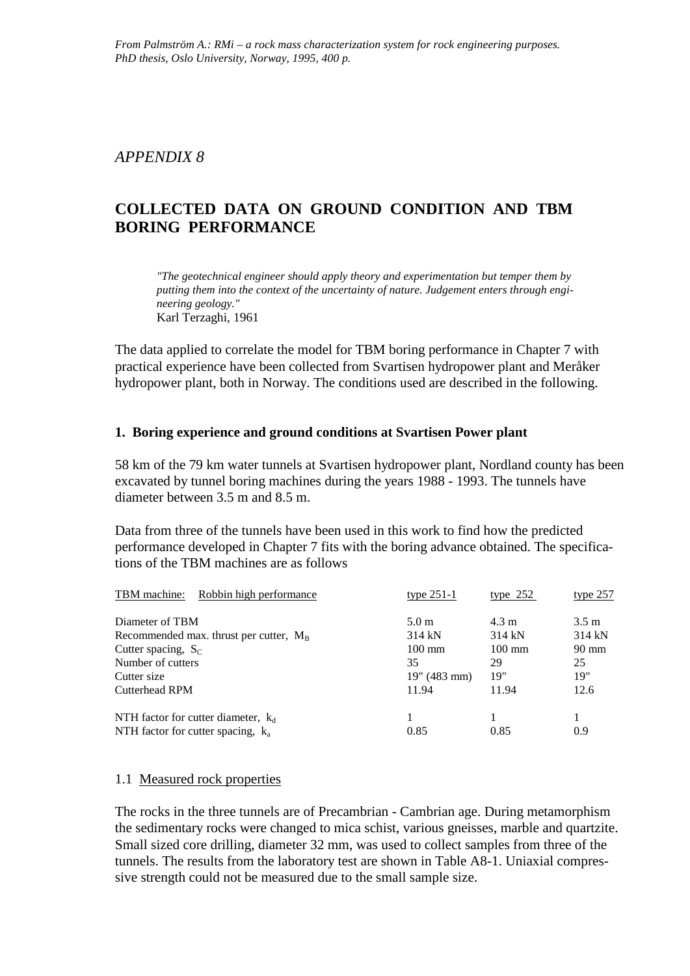## *APPENDIX 8*

# **COLLECTED DATA ON GROUND CONDITION AND TBM BORING PERFORMANCE**

*"The geotechnical engineer should apply theory and experimentation but temper them by putting them into the context of the uncertainty of nature. Judgement enters through engineering geology."* Karl Terzaghi, 1961

The data applied to correlate the model for TBM boring performance in Chapter 7 with practical experience have been collected from Svartisen hydropower plant and Meråker hydropower plant, both in Norway. The conditions used are described in the following.

#### **1. Boring experience and ground conditions at Svartisen Power plant**

58 km of the 79 km water tunnels at Svartisen hydropower plant, Nordland county has been excavated by tunnel boring machines during the years 1988 - 1993. The tunnels have diameter between 3.5 m and 8.5 m.

Data from three of the tunnels have been used in this work to find how the predicted performance developed in Chapter 7 fits with the boring advance obtained. The specifications of the TBM machines are as follows

| Robbin high performance<br>TBM machine:                                       | type $251-1$     | type $252$       | type $257$      |
|-------------------------------------------------------------------------------|------------------|------------------|-----------------|
| Diameter of TBM                                                               | 5.0 <sub>m</sub> | $4.3 \text{ m}$  | $3.5 \text{ m}$ |
| Recommended max. thrust per cutter, $M_B$                                     | 314 kN           | 314 kN           | 314kN           |
| Cutter spacing, $S_C$                                                         | $100 \text{ mm}$ | $100 \text{ mm}$ | $90 \text{ mm}$ |
| Number of cutters                                                             | 35               | 29               | 25              |
| Cutter size                                                                   | 19" (483 mm)     | 19"              | 19"             |
| Cutterhead RPM                                                                | 11.94            | 11.94            | 12.6            |
| NTH factor for cutter diameter, $k_d$<br>NTH factor for cutter spacing, $k_a$ | 1<br>0.85        | 0.85             | 0.9             |

#### 1.1 Measured rock properties

The rocks in the three tunnels are of Precambrian - Cambrian age. During metamorphism the sedimentary rocks were changed to mica schist, various gneisses, marble and quartzite. Small sized core drilling, diameter 32 mm, was used to collect samples from three of the tunnels. The results from the laboratory test are shown in Table A8-1. Uniaxial compressive strength could not be measured due to the small sample size.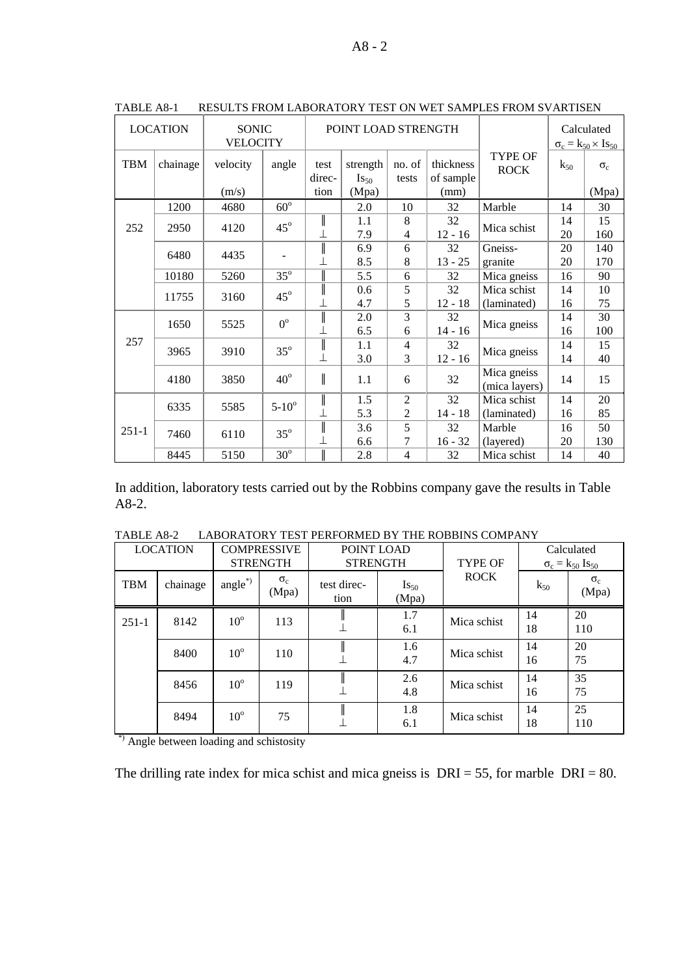|            | <b>LOCATION</b> | SONIC<br><b>VELOCITY</b> |                  |                | POINT LOAD STRENGTH       |                     |                        |                               |          | Calculated<br>$\sigma_c = k_{50} \times I s_{50}$ |
|------------|-----------------|--------------------------|------------------|----------------|---------------------------|---------------------|------------------------|-------------------------------|----------|---------------------------------------------------|
| <b>TBM</b> | chainage        | velocity                 | angle            | test<br>direc- | strength<br>$I_{\rm S50}$ | no. of<br>tests     | thickness<br>of sample | <b>TYPE OF</b><br><b>ROCK</b> | $k_{50}$ | $\sigma_c$                                        |
|            |                 | (m/s)                    |                  | tion           | (Mpa)                     |                     | (mm)                   |                               |          | (Mpa)                                             |
|            | 1200            | 4680                     | $60^\circ$       |                | 2.0                       | 10                  | 32                     | Marble                        | 14       | 30                                                |
| 252        | 2950            | 4120                     | $45^{\circ}$     | $\big\ $       | 1.1<br>7.9                | 8<br>$\overline{4}$ | 32<br>$12 - 16$        | Mica schist                   | 14<br>20 | 15<br>160                                         |
|            | 6480            | 4435                     |                  | $\big\ $       | 6.9                       | 6                   | 32                     | Gneiss-                       | 20       | 140                                               |
|            |                 |                          |                  |                | 8.5                       | 8                   | $13 - 25$              | granite                       | 20       | 170                                               |
|            | 10180           | 5260                     | $35^\circ$       | I              | 5.5                       | 6                   | 32                     | Mica gneiss                   | 16       | 90                                                |
|            | 11755           | 3160                     | $45^\circ$       | $\parallel$    | 0.6                       | 5                   | 32                     | Mica schist                   | 14       | 10                                                |
|            |                 |                          |                  |                | 4.7                       | 5                   | $12 - 18$              | (laminated)                   | 16       | 75                                                |
|            | 1650            | 5525                     | $0^{\circ}$      | $\big\ $       | 2.0                       | 3                   | 32                     |                               | 14       | 30                                                |
|            |                 |                          |                  |                | 6.5                       | 6                   | $14 - 16$              | Mica gneiss                   | 16       | 100                                               |
| 257        | 3965            | 3910                     | $35^\circ$       | $\parallel$    | 1.1                       | $\overline{4}$      | 32                     |                               | 14       | 15                                                |
|            |                 |                          |                  |                | 3.0                       | 3                   | $12 - 16$              | Mica gneiss                   | 14       | 40                                                |
|            | 4180            | 3850                     | $40^{\circ}$     | $\parallel$    | 1.1                       | 6                   | 32                     | Mica gneiss<br>(mica layers)  | 14       | 15                                                |
|            |                 |                          |                  | I              | 1.5                       | $\overline{2}$      | 32                     | Mica schist                   | 14       | 20                                                |
|            | 6335            | 5585                     | $5 - 10^{\circ}$ |                | 5.3                       | $\overline{2}$      | $14 - 18$              | (laminated)                   | 16       | 85                                                |
| $251-1$    | 7460            | 6110                     | $35^\circ$       | $\big\ $       | 3.6                       | 5                   | 32                     | Marble                        | 16       | 50                                                |
|            |                 |                          |                  |                | 6.6                       | 7                   | $16 - 32$              | (layered)                     | 20       | 130                                               |
|            | 8445            | 5150                     | $30^\circ$       | I              | 2.8                       | $\overline{4}$      | 32                     | Mica schist                   | 14       | 40                                                |

TABLE A8-1 RESULTS FROM LABORATORY TEST ON WET SAMPLES FROM SVARTISEN

In addition, laboratory tests carried out by the Robbins company gave the results in Table A8-2.

|                 | 1 ADLL AV-4<br>LADONATON I TLOT I LINI ONMLD DT THE NODDHW COMITANT |                                       |                     |                               |                    |                |          |                                                    |  |  |  |
|-----------------|---------------------------------------------------------------------|---------------------------------------|---------------------|-------------------------------|--------------------|----------------|----------|----------------------------------------------------|--|--|--|
| <b>LOCATION</b> |                                                                     | <b>COMPRESSIVE</b><br><b>STRENGTH</b> |                     | POINT LOAD<br><b>STRENGTH</b> |                    | <b>TYPE OF</b> |          | Calculated<br>$\sigma_c = k_{50}$ Is <sub>50</sub> |  |  |  |
| <b>TBM</b>      | chainage                                                            | angle $*$                             | $\sigma_c$<br>(Mpa) | test direc-<br>tion           | $Is_{50}$<br>(Mpa) | <b>ROCK</b>    | $k_{50}$ | $\sigma_c$<br>(Mpa)                                |  |  |  |
| $251-1$         | 8142                                                                | $10^{\circ}$                          | 113                 |                               | 1.7<br>6.1         | Mica schist    | 14<br>18 | 20<br>110                                          |  |  |  |
|                 | 8400                                                                | $10^{\circ}$                          | 110                 |                               | 1.6<br>4.7         | Mica schist    | 14<br>16 | 20<br>75                                           |  |  |  |
|                 | 8456                                                                | $10^{\circ}$                          | 119                 |                               | 2.6<br>4.8         | Mica schist    | 14<br>16 | 35<br>75                                           |  |  |  |
|                 | 8494                                                                | $10^{\circ}$                          | 75                  |                               | 1.8<br>6.1         | Mica schist    | 14<br>18 | 25<br>110                                          |  |  |  |

TABLE A8-2 LABORATORY TEST PERFORMED BY THE ROBBINS COMPANY

\*) Angle between loading and schistosity

The drilling rate index for mica schist and mica gneiss is  $DRI = 55$ , for marble  $DRI = 80$ .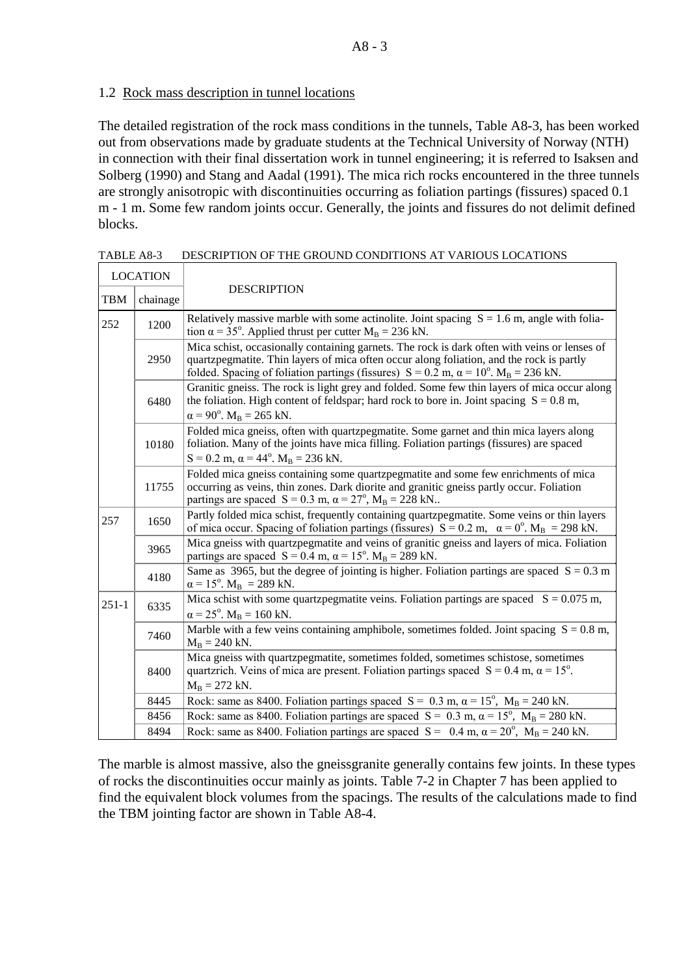### 1.2 Rock mass description in tunnel locations

The detailed registration of the rock mass conditions in the tunnels, Table A8-3, has been worked out from observations made by graduate students at the Technical University of Norway (NTH) in connection with their final dissertation work in tunnel engineering; it is referred to Isaksen and Solberg (1990) and Stang and Aadal (1991). The mica rich rocks encountered in the three tunnels are strongly anisotropic with discontinuities occurring as foliation partings (fissures) spaced 0.1 m - 1 m. Some few random joints occur. Generally, the joints and fissures do not delimit defined blocks.

|            | <b>LOCATION</b> |                                                                                                                                                                                                                                                                                                            |
|------------|-----------------|------------------------------------------------------------------------------------------------------------------------------------------------------------------------------------------------------------------------------------------------------------------------------------------------------------|
| <b>TBM</b> | chainage        | <b>DESCRIPTION</b>                                                                                                                                                                                                                                                                                         |
| 252        | 1200            | Relatively massive marble with some actinolite. Joint spacing $S = 1.6$ m, angle with folia-<br>tion $\alpha$ = 35°. Applied thrust per cutter M <sub>B</sub> = 236 kN.                                                                                                                                    |
|            | 2950            | Mica schist, occasionally containing garnets. The rock is dark often with veins or lenses of<br>quartzpegmatite. Thin layers of mica often occur along foliation, and the rock is partly<br>folded. Spacing of foliation partings (fissures) $S = 0.2$ m, $\alpha = 10^{\circ}$ . M <sub>B</sub> = 236 kN. |
|            | 6480            | Granitic gneiss. The rock is light grey and folded. Some few thin layers of mica occur along<br>the foliation. High content of feldspar; hard rock to bore in. Joint spacing $S = 0.8$ m,<br>$\alpha = 90^{\circ}$ . $M_B = 265$ kN.                                                                       |
|            | 10180           | Folded mica gneiss, often with quartzpegmatite. Some garnet and thin mica layers along<br>foliation. Many of the joints have mica filling. Foliation partings (fissures) are spaced<br>$S = 0.2$ m, $\alpha = 44^{\circ}$ . $M_B = 236$ kN.                                                                |
|            | 11755           | Folded mica gneiss containing some quartzpegmatite and some few enrichments of mica<br>occurring as veins, thin zones. Dark diorite and granitic gneiss partly occur. Foliation<br>partings are spaced $S = 0.3$ m, $\alpha = 27^{\circ}$ , $M_B = 228$ kN                                                 |
| 257        | 1650            | Partly folded mica schist, frequently containing quartzpegmatite. Some veins or thin layers<br>of mica occur. Spacing of foliation partings (fissures) $S = 0.2$ m, $\alpha = 0^{\circ}$ . M <sub>B</sub> = 298 kN.                                                                                        |
|            | 3965            | Mica gneiss with quartzpegmatite and veins of granitic gneiss and layers of mica. Foliation<br>partings are spaced $S = 0.4$ m, $\alpha = 15^{\circ}$ . $M_B = 289$ kN.                                                                                                                                    |
|            | 4180            | Same as 3965, but the degree of jointing is higher. Foliation partings are spaced $S = 0.3$ m<br>$\alpha = 15^{\circ}$ . M <sub>B</sub> = 289 kN.                                                                                                                                                          |
| $251-1$    | 6335            | Mica schist with some quartzpegmatite veins. Foliation partings are spaced $S = 0.075$ m,<br>$\alpha = 25^{\circ}$ . $M_B = 160$ kN.                                                                                                                                                                       |
|            | 7460            | Marble with a few veins containing amphibole, sometimes folded. Joint spacing $S = 0.8$ m,<br>$M_B = 240$ kN.                                                                                                                                                                                              |
|            | 8400            | Mica gneiss with quartzpegmatite, sometimes folded, sometimes schistose, sometimes<br>quartzrich. Veins of mica are present. Foliation partings spaced $S = 0.4$ m, $\alpha = 15^{\circ}$ .<br>$M_B = 272$ kN.                                                                                             |
|            | 8445            | Rock: same as 8400. Foliation partings spaced $S = 0.3$ m, $\alpha = 15^{\circ}$ , $M_B = 240$ kN.                                                                                                                                                                                                         |
|            | 8456            | Rock: same as 8400. Foliation partings are spaced $S = 0.3$ m, $\alpha = 15^{\circ}$ , $M_B = 280$ kN.                                                                                                                                                                                                     |
|            | 8494            | Rock: same as 8400. Foliation partings are spaced $S = 0.4$ m, $\alpha = 20^{\circ}$ , $M_B = 240$ kN.                                                                                                                                                                                                     |

TABLE A8-3 DESCRIPTION OF THE GROUND CONDITIONS AT VARIOUS LOCATIONS

The marble is almost massive, also the gneissgranite generally contains few joints. In these types of rocks the discontinuities occur mainly as joints. Table 7-2 in Chapter 7 has been applied to find the equivalent block volumes from the spacings. The results of the calculations made to find the TBM jointing factor are shown in Table A8-4.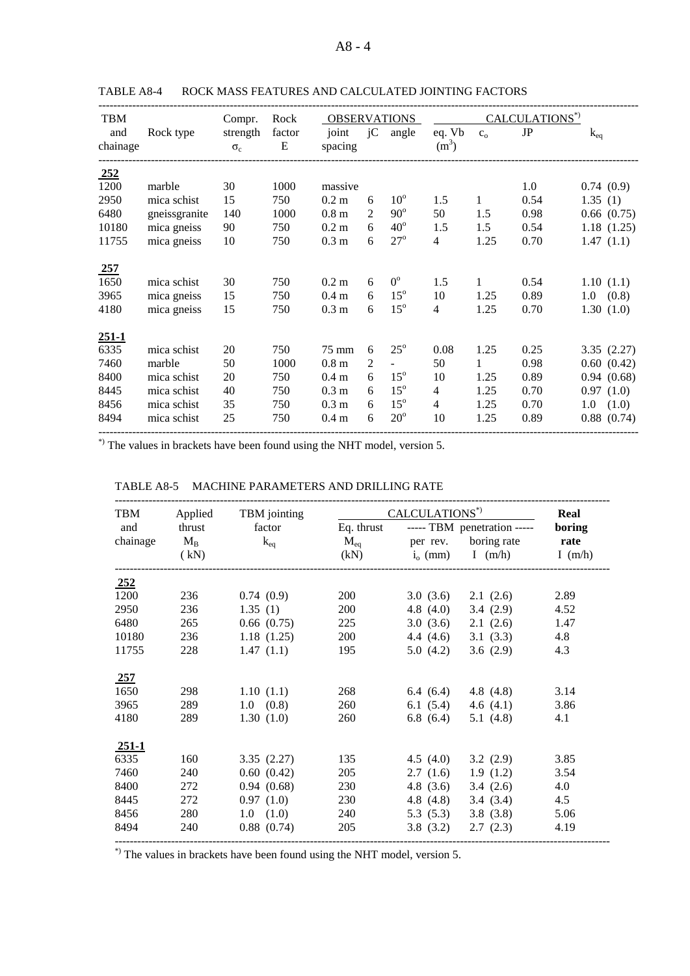| <b>TBM</b> |               | Compr.     | Rock   | <b>OBSERVATIONS</b> |                |              |                |              | CALCULATIONS*) |              |
|------------|---------------|------------|--------|---------------------|----------------|--------------|----------------|--------------|----------------|--------------|
| and        | Rock type     | strength   | factor | joint               | jC             | angle        | eq. Vb         | $C_0$        | JP             | $k_{eq}$     |
| chainage   |               | $\sigma_c$ | Ε      | spacing             |                |              | $(m^3)$        |              |                |              |
| 252        |               |            |        |                     |                |              |                |              |                |              |
| 1200       | marble        | 30         | 1000   | massive             |                |              |                |              | 1.0            | 0.74(0.9)    |
| 2950       | mica schist   | 15         | 750    | $0.2 \text{ m}$     | 6              | $10^{\circ}$ | 1.5            | $\mathbf{1}$ | 0.54           | 1.35(1)      |
| 6480       | gneissgranite | 140        | 1000   | 0.8 <sub>m</sub>    | 2              | $90^\circ$   | 50             | 1.5          | 0.98           | 0.66(0.75)   |
| 10180      | mica gneiss   | 90         | 750    | $0.2 \text{ m}$     | 6              | $40^{\circ}$ | 1.5            | 1.5          | 0.54           | 1.18(1.25)   |
| 11755      | mica gneiss   | 10         | 750    | 0.3 <sub>m</sub>    | 6              | $27^\circ$   | $\overline{4}$ | 1.25         | 0.70           | 1.47(1.1)    |
| 257        |               |            |        |                     |                |              |                |              |                |              |
| 1650       | mica schist   | 30         | 750    | 0.2 <sub>m</sub>    | 6              | $0^{\circ}$  | 1.5            | 1            | 0.54           | 1.10(1.1)    |
| 3965       | mica gneiss   | 15         | 750    | 0.4 <sub>m</sub>    | 6              | $15^{\circ}$ | 10             | 1.25         | 0.89           | 1.0 (0.8)    |
| 4180       | mica gneiss   | 15         | 750    | 0.3 <sub>m</sub>    | 6              | $15^{\circ}$ | $\overline{4}$ | 1.25         | 0.70           | 1.30(1.0)    |
| $251 - 1$  |               |            |        |                     |                |              |                |              |                |              |
| 6335       | mica schist   | 20         | 750    | 75 mm               | 6              | $25^{\circ}$ | 0.08           | 1.25         | 0.25           | 3.35(2.27)   |
| 7460       | marble        | 50         | 1000   | 0.8 <sub>m</sub>    | $\overline{2}$ |              | 50             | 1            | 0.98           | 0.60(0.42)   |
| 8400       | mica schist   | 20         | 750    | $0.4 \text{ m}$     | 6              | $15^{\circ}$ | 10             | 1.25         | 0.89           | 0.94(0.68)   |
| 8445       | mica schist   | 40         | 750    | 0.3 <sub>m</sub>    | 6              | $15^{\circ}$ | 4              | 1.25         | 0.70           | 0.97(1.0)    |
| 8456       | mica schist   | 35         | 750    | 0.3 <sub>m</sub>    | 6              | $15^{\circ}$ | $\overline{4}$ | 1.25         | 0.70           | 1.0<br>(1.0) |
| 8494       | mica schist   | 25         | 750    | 0.4 <sub>m</sub>    | 6              | $20^{\circ}$ | 10             | 1.25         | 0.89           | 0.88(0.74)   |
|            |               |            |        |                     |                |              |                |              |                |              |

TABLE A8-4 ROCK MASS FEATURES AND CALCULATED JOINTING FACTORS

------------------------------------------------------------------------------------------------------------------------------------------------ \*) The values in brackets have been found using the NHT model, version 5.

| TBM        | Applied   | TBM jointing      |               | CALCULATIONS*) |                             | Real      |
|------------|-----------|-------------------|---------------|----------------|-----------------------------|-----------|
| and        | thrust    | factor            | Eq. thrust    |                | ----- TBM penetration ----- | boring    |
| chainage   | $\rm M_B$ | $k_{eq}$          | $\rm\,M_{ea}$ |                | per rev. boring rate        | rate      |
|            | (kN)      |                   | (kN)          | $i_{o}$ (mm)   | I $(m/h)$                   | I $(m/h)$ |
|            |           |                   |               |                |                             |           |
| <u>252</u> |           |                   |               |                |                             |           |
| 1200       | 236       | 0.74(0.9)         | 200           |                | $3.0(3.6)$ $2.1(2.6)$       | 2.89      |
| 2950       | 236       | 1.35(1)           | 200           | 4.8 $(4.0)$    | 3.4(2.9)                    | 4.52      |
| 6480       | 265       | 0.66(0.75)        | 225           | 3.0(3.6)       | 2.1(2.6)                    | 1.47      |
| 10180      | 236       | 1.18(1.25)        | 200           |                | 4.4 $(4.6)$ 3.1 $(3.3)$     | 4.8       |
| 11755      | 228       | 1.47(1.1)         | 195           | 5.0(4.2)       | 3.6 $(2.9)$                 | 4.3       |
|            |           |                   |               |                |                             |           |
| 257        |           |                   |               |                |                             |           |
| 1650       | 298       | 1.10(1.1)         | 268           |                | 6.4 $(6.4)$ 4.8 $(4.8)$     | 3.14      |
| 3965       | 289       | $1.0\quad(0.8)$   | 260           | 6.1 $(5.4)$    | 4.6 $(4.1)$                 | 3.86      |
| 4180       | 289       | 1.30(1.0)         | 260           | 6.8 $(6.4)$    | 5.1 $(4.8)$                 | 4.1       |
| $251-1$    |           |                   |               |                |                             |           |
| 6335       | 160       | 3.35(2.27)        | 135           | 4.5 $(4.0)$    | 3.2(2.9)                    | 3.85      |
| 7460       | 240       | 0.60(0.42)        | 205           | 2.7(1.6)       | 1.9(1.2)                    | 3.54      |
| 8400       | 272       | 0.94(0.68)        | 230           | 4.8 $(3.6)$    | 3.4(2.6)                    | 4.0       |
| 8445       | 272       | 0.97(1.0)         | 230           | 4.8 (4.8)      | 3.4(3.4)                    | 4.5       |
|            |           |                   |               |                |                             |           |
| 8456       | 280       | $1.0 \quad (1.0)$ | 240           | 5.3(5.3)       | 3.8(3.8)                    | 5.06      |
| 8494       | 240       | 0.88(0.74)        | 205           | 3.8(3.2)       | 2.7(2.3)                    | 4.19      |

#### TABLE A8-5 MACHINE PARAMETERS AND DRILLING RATE

------------------------------------------------------------------------------------------------------------------------------------ \*) The values in brackets have been found using the NHT model, version 5.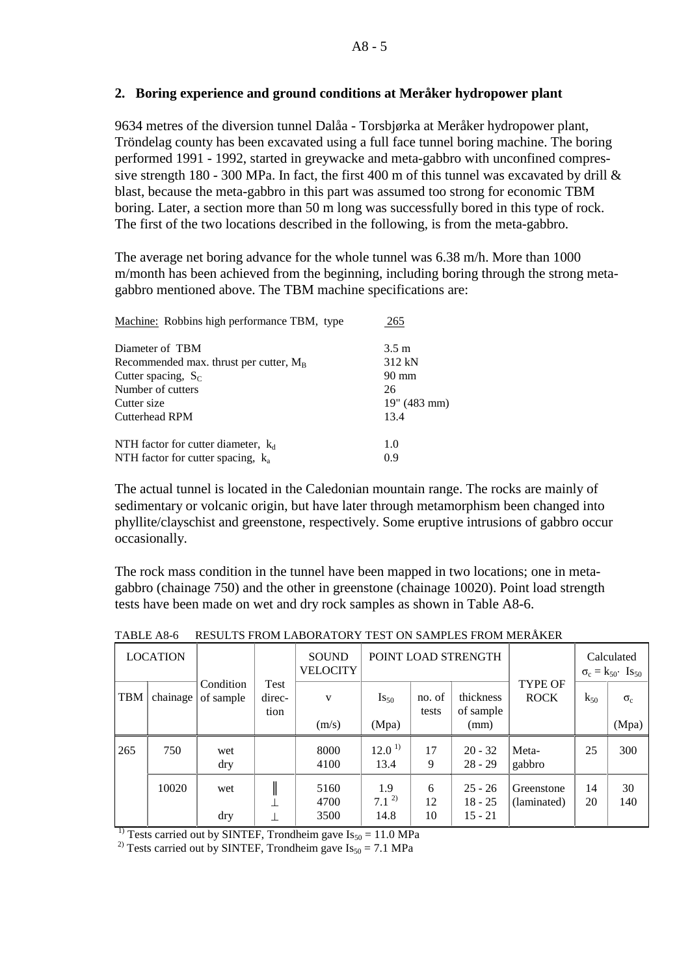### **2. Boring experience and ground conditions at Meråker hydropower plant**

9634 metres of the diversion tunnel Dalåa - Torsbjørka at Meråker hydropower plant, Tröndelag county has been excavated using a full face tunnel boring machine. The boring performed 1991 - 1992, started in greywacke and meta-gabbro with unconfined compressive strength 180 - 300 MPa. In fact, the first 400 m of this tunnel was excavated by drill  $\&$ blast, because the meta-gabbro in this part was assumed too strong for economic TBM boring. Later, a section more than 50 m long was successfully bored in this type of rock. The first of the two locations described in the following, is from the meta-gabbro.

The average net boring advance for the whole tunnel was 6.38 m/h. More than 1000 m/month has been achieved from the beginning, including boring through the strong metagabbro mentioned above. The TBM machine specifications are:

| Machine: Robbins high performance TBM, type | 265             |
|---------------------------------------------|-----------------|
| Diameter of TBM                             | $3.5 \text{ m}$ |
| Recommended max. thrust per cutter, $M_B$   | 312 kN          |
| Cutter spacing, $S_C$                       | 90 mm           |
| Number of cutters                           | 26              |
| Cutter size                                 | 19'' (483 mm)   |
| <b>Cutterhead RPM</b>                       | 13.4            |
| NTH factor for cutter diameter, $k_d$       | 1.0             |
| NTH factor for cutter spacing, $k_a$        | 0.9             |

The actual tunnel is located in the Caledonian mountain range. The rocks are mainly of sedimentary or volcanic origin, but have later through metamorphism been changed into phyllite/clayschist and greenstone, respectively. Some eruptive intrusions of gabbro occur occasionally.

The rock mass condition in the tunnel have been mapped in two locations; one in metagabbro (chainage 750) and the other in greenstone (chainage 10020). Point load strength tests have been made on wet and dry rock samples as shown in Table A8-6.

|            | <b>LOCATION</b> |                        |                        | <b>SOUND</b><br><b>VELOCITY</b> |                           |                 | POINT LOAD STRENGTH                 |                           |          | Calculated<br>$\sigma_c = k_{50}$ Is <sub>50</sub> |
|------------|-----------------|------------------------|------------------------|---------------------------------|---------------------------|-----------------|-------------------------------------|---------------------------|----------|----------------------------------------------------|
| <b>TBM</b> | chainage        | Condition<br>of sample | Test<br>direc-<br>tion | V<br>(m/s)                      | $Is_{50}$<br>(Mpa)        | no. of<br>tests | thickness<br>of sample<br>(mm)      | TYPE OF<br><b>ROCK</b>    | $k_{50}$ | $\sigma_c$<br>(Mpa)                                |
| 265        | 750             | wet<br>dry             |                        | 8000<br>4100                    | 12.0 <sup>1</sup><br>13.4 | 17<br>9         | $20 - 32$<br>$28 - 29$              | Meta-<br>gabbro           | 25       | 300                                                |
|            | 10020           | wet<br>dry             |                        | 5160<br>4700<br>3500            | 1.9<br>$7.1^{2}$<br>14.8  | 6<br>12<br>10   | $25 - 26$<br>$18 - 25$<br>$15 - 21$ | Greenstone<br>(laminated) | 14<br>20 | 30<br>140                                          |

TABLE A8-6 RESULTS FROM LABORATORY TEST ON SAMPLES FROM MERÅKER

<sup>1)</sup> Tests carried out by SINTEF, Trondheim gave  $Is_{50} = 11.0 \text{ MPa}$ 

<sup>2)</sup> Tests carried out by SINTEF, Trondheim gave  $Is_{50} = 7.1$  MPa